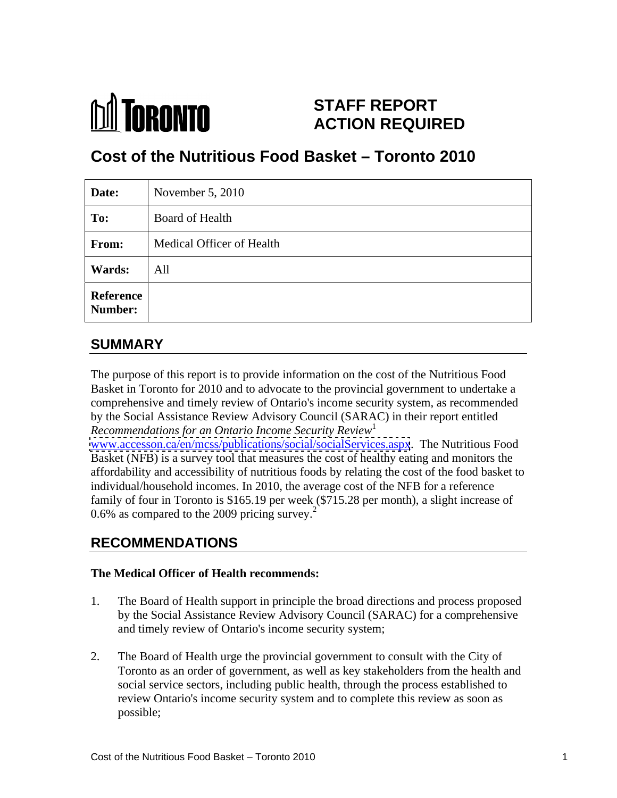

# **STAFF REPORT ACTION REQUIRED**

# **Cost of the Nutritious Food Basket – Toronto 2010**

| Date:                | November $5, 2010$        |
|----------------------|---------------------------|
| To:                  | Board of Health           |
| From:                | Medical Officer of Health |
| <b>Wards:</b>        | All                       |
| Reference<br>Number: |                           |

# **SUMMARY**

The purpose of this report is to provide information on the cost of the Nutritious Food Basket in Toronto for 2010 and to advocate to the provincial government to undertake a comprehensive and timely review of Ontario's income security system, as recommended by the Social Assistance Review Advisory Council (SARAC) in their report entitled *Recommendations for an Ontario Income Security Review*<sup>1</sup>

[www.accesson.ca/en/mcss/publications/social/socialServices.aspx](http://www.accesson.ca/en/mcss/publications/social/socialServices.aspx). The Nutritious Food Basket (NFB) is a survey tool that measures the cost of healthy eating and monitors the affordability and accessibility of nutritious foods by relating the cost of the food basket to individual/household incomes. In 2010, the average cost of the NFB for a reference family of four in Toronto is \$165.19 per week (\$715.28 per month), a slight increase of 0.6% as compared to the 2009 pricing survey. $2^2$ 

# **RECOMMENDATIONS**

#### **The Medical Officer of Health recommends:**

- 1. The Board of Health support in principle the broad directions and process proposed by the Social Assistance Review Advisory Council (SARAC) for a comprehensive and timely review of Ontario's income security system;
- 2. The Board of Health urge the provincial government to consult with the City of Toronto as an order of government, as well as key stakeholders from the health and social service sectors, including public health, through the process established to review Ontario's income security system and to complete this review as soon as possible;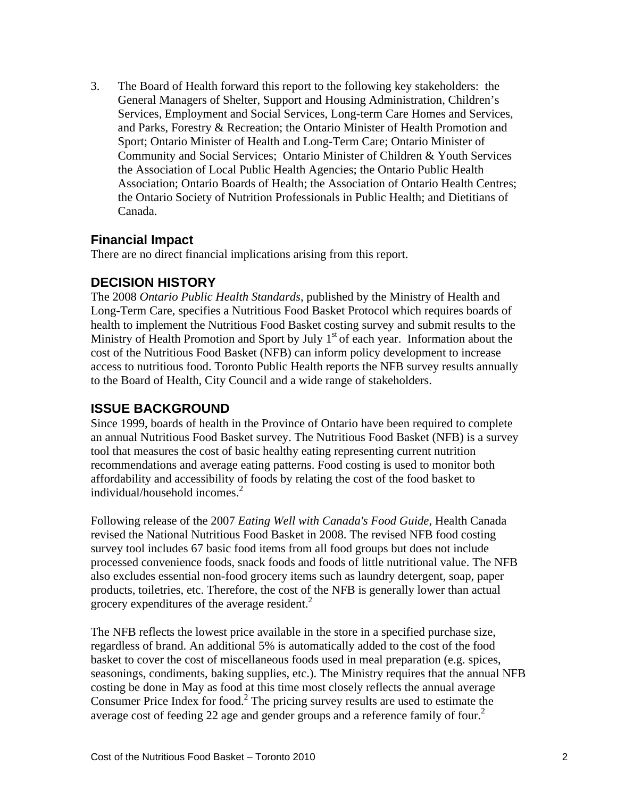3. The Board of Health forward this report to the following key stakeholders: the General Managers of Shelter, Support and Housing Administration, Children's Services, Employment and Social Services, Long-term Care Homes and Services, and Parks, Forestry & Recreation; the Ontario Minister of Health Promotion and Sport; Ontario Minister of Health and Long-Term Care; Ontario Minister of Community and Social Services; Ontario Minister of Children & Youth Services the Association of Local Public Health Agencies; the Ontario Public Health Association; Ontario Boards of Health; the Association of Ontario Health Centres; the Ontario Society of Nutrition Professionals in Public Health; and Dietitians of Canada.

#### **Financial Impact**

There are no direct financial implications arising from this report.

#### **DECISION HISTORY**

The 2008 *Ontario Public Health Standards*, published by the Ministry of Health and Long-Term Care, specifies a Nutritious Food Basket Protocol which requires boards of health to implement the Nutritious Food Basket costing survey and submit results to the Ministry of Health Promotion and Sport by July  $1<sup>st</sup>$  of each year. Information about the cost of the Nutritious Food Basket (NFB) can inform policy development to increase access to nutritious food. Toronto Public Health reports the NFB survey results annually to the Board of Health, City Council and a wide range of stakeholders.

#### **ISSUE BACKGROUND**

Since 1999, boards of health in the Province of Ontario have been required to complete an annual Nutritious Food Basket survey. The Nutritious Food Basket (NFB) is a survey tool that measures the cost of basic healthy eating representing current nutrition recommendations and average eating patterns. Food costing is used to monitor both affordability and accessibility of foods by relating the cost of the food basket to individual/household incomes. $2$ 

Following release of the 2007 *Eating Well with Canada's Food Guide*, Health Canada revised the National Nutritious Food Basket in 2008. The revised NFB food costing survey tool includes 67 basic food items from all food groups but does not include processed convenience foods, snack foods and foods of little nutritional value. The NFB also excludes essential non-food grocery items such as laundry detergent, soap, paper products, toiletries, etc. Therefore, the cost of the NFB is generally lower than actual grocery expenditures of the average resident. $<sup>2</sup>$ </sup>

The NFB reflects the lowest price available in the store in a specified purchase size, regardless of brand. An additional 5% is automatically added to the cost of the food basket to cover the cost of miscellaneous foods used in meal preparation (e.g. spices, seasonings, condiments, baking supplies, etc.). The Ministry requires that the annual NFB costing be done in May as food at this time most closely reflects the annual average Consumer Price Index for food.<sup>2</sup> The pricing survey results are used to estimate the average cost of feeding 22 age and gender groups and a reference family of four.<sup>2</sup>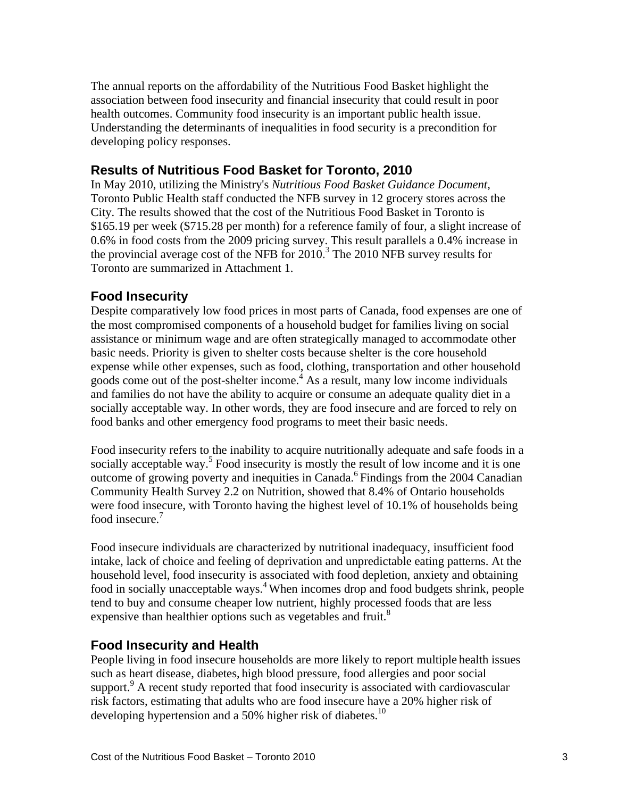The annual reports on the affordability of the Nutritious Food Basket highlight the association between food insecurity and financial insecurity that could result in poor health outcomes. Community food insecurity is an important public health issue. Understanding the determinants of inequalities in food security is a precondition for developing policy responses.

#### **Results of Nutritious Food Basket for Toronto, 2010**

In May 2010, utilizing the Ministry's *Nutritious Food Basket Guidance Document*, Toronto Public Health staff conducted the NFB survey in 12 grocery stores across the City. The results showed that the cost of the Nutritious Food Basket in Toronto is \$165.19 per week (\$715.28 per month) for a reference family of four, a slight increase of 0.6% in food costs from the 2009 pricing survey. This result parallels a 0.4% increase in the provincial average cost of the NFB for  $2010<sup>3</sup>$  The 2010 NFB survey results for Toronto are summarized in Attachment 1.

#### **Food Insecurity**

Despite comparatively low food prices in most parts of Canada, food expenses are one of the most compromised components of a household budget for families living on social assistance or minimum wage and are often strategically managed to accommodate other basic needs. Priority is given to shelter costs because shelter is the core household expense while other expenses, such as food, clothing, transportation and other household goods come out of the post-shelter income.<sup>4</sup> As a result, many low income individuals and families do not have the ability to acquire or consume an adequate quality diet in a socially acceptable way. In other words, they are food insecure and are forced to rely on food banks and other emergency food programs to meet their basic needs.

Food insecurity refers to the inability to acquire nutritionally adequate and safe foods in a socially acceptable way.<sup>5</sup> Food insecurity is mostly the result of low income and it is one outcome of growing poverty and inequities in Canada.<sup>6</sup> Findings from the 2004 Canadian Community Health Survey 2.2 on Nutrition, showed that 8.4% of Ontario households were food insecure, with Toronto having the highest level of 10.1% of households being food insecure.<sup>7</sup>

Food insecure individuals are characterized by nutritional inadequacy, insufficient food intake, lack of choice and feeling of deprivation and unpredictable eating patterns. At the household level, food insecurity is associated with food depletion, anxiety and obtaining food in socially unacceptable ways.<sup>4</sup> When incomes drop and food budgets shrink, people tend to buy and consume cheaper low nutrient, highly processed foods that are less expensive than healthier options such as vegetables and fruit.<sup>8</sup>

### **Food Insecurity and Health**

People living in food insecure households are more likely to report multiple health issues such as heart disease, diabetes, high blood pressure, food allergies and poor social support.<sup>9</sup> A recent study reported that food insecurity is associated with cardiovascular risk factors, estimating that adults who are food insecure have a 20% higher risk of developing hypertension and a 50% higher risk of diabetes.<sup>10</sup>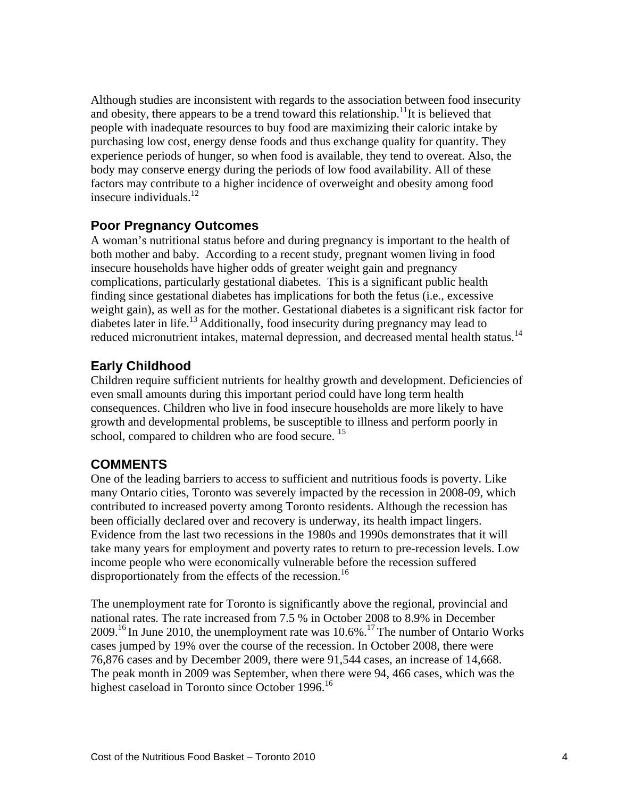Although studies are inconsistent with regards to the association between food insecurity and obesity, there appears to be a trend toward this relationship.<sup>11</sup>It is believed that people with inadequate resources to buy food are maximizing their caloric intake by purchasing low cost, energy dense foods and thus exchange quality for quantity. They experience periods of hunger, so when food is available, they tend to overeat. Also, the body may conserve energy during the periods of low food availability. All of these factors may contribute to a higher incidence of overweight and obesity among food insecure individuals. $12$ 

#### **Poor Pregnancy Outcomes**

A woman's nutritional status before and during pregnancy is important to the health of both mother and baby. According to a recent study, pregnant women living in food insecure households have higher odds of greater weight gain and pregnancy complications, particularly gestational diabetes. This is a significant public health finding since gestational diabetes has implications for both the fetus (i.e., excessive weight gain), as well as for the mother. Gestational diabetes is a significant risk factor for diabetes later in life.<sup>13</sup> Additionally, food insecurity during pregnancy may lead to reduced micronutrient intakes, maternal depression, and decreased mental health status.<sup>14</sup>

# **Early Childhood**

Children require sufficient nutrients for healthy growth and development. Deficiencies of even small amounts during this important period could have long term health consequences. Children who live in food insecure households are more likely to have growth and developmental problems, be susceptible to illness and perform poorly in school, compared to children who are food secure. <sup>15</sup>

### **COMMENTS**

One of the leading barriers to access to sufficient and nutritious foods is poverty. Like many Ontario cities, Toronto was severely impacted by the recession in 2008-09, which contributed to increased poverty among Toronto residents. Although the recession has been officially declared over and recovery is underway, its health impact lingers. Evidence from the last two recessions in the 1980s and 1990s demonstrates that it will take many years for employment and poverty rates to return to pre-recession levels. Low income people who were economically vulnerable before the recession suffered disproportionately from the effects of the recession.<sup>16</sup>

The unemployment rate for Toronto is significantly above the regional, provincial and national rates. The rate increased from 7.5 % in October 2008 to 8.9% in December  $2009$ <sup>16</sup> In June 2010, the unemployment rate was  $10.6\%$ <sup>17</sup> The number of Ontario Works cases jumped by 19% over the course of the recession. In October 2008, there were 76,876 cases and by December 2009, there were 91,544 cases, an increase of 14,668. The peak month in 2009 was September, when there were 94, 466 cases, which was the highest caseload in Toronto since October 1996.<sup>16</sup>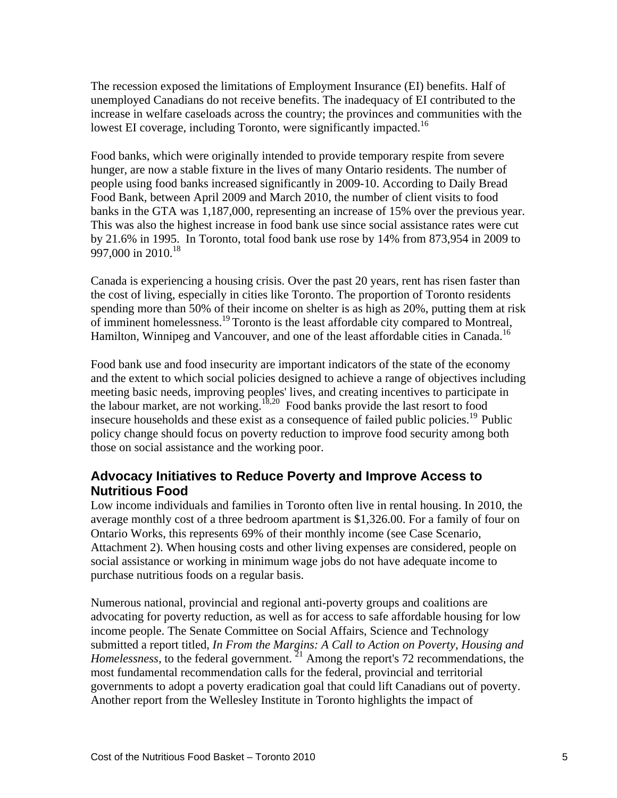The recession exposed the limitations of Employment Insurance (EI) benefits. Half of unemployed Canadians do not receive benefits. The inadequacy of EI contributed to the increase in welfare caseloads across the country; the provinces and communities with the lowest EI coverage, including Toronto, were significantly impacted.<sup>16</sup>

Food banks, which were originally intended to provide temporary respite from severe hunger, are now a stable fixture in the lives of many Ontario residents. The number of people using food banks increased significantly in 2009-10. According to Daily Bread Food Bank, between April 2009 and March 2010, the number of client visits to food banks in the GTA was 1,187,000, representing an increase of 15% over the previous year. This was also the highest increase in food bank use since social assistance rates were cut by 21.6% in 1995. In Toronto, total food bank use rose by 14% from 873,954 in 2009 to 997,000 in 2010.<sup>18</sup>

Canada is experiencing a housing crisis. Over the past 20 years, rent has risen faster than the cost of living, especially in cities like Toronto. The proportion of Toronto residents spending more than 50% of their income on shelter is as high as 20%, putting them at risk of imminent homelessness.<sup>19</sup> Toronto is the least affordable city compared to Montreal, Hamilton, Winnipeg and Vancouver, and one of the least affordable cities in Canada.<sup>16</sup>

Food bank use and food insecurity are important indicators of the state of the economy and the extent to which social policies designed to achieve a range of objectives including meeting basic needs, improving peoples' lives, and creating incentives to participate in the labour market, are not working.<sup>18,20</sup> Food banks provide the last resort to food insecure households and these exist as a consequence of failed public policies.<sup>19</sup> Public policy change should focus on poverty reduction to improve food security among both those on social assistance and the working poor.

#### **Advocacy Initiatives to Reduce Poverty and Improve Access to Nutritious Food**

Low income individuals and families in Toronto often live in rental housing. In 2010, the average monthly cost of a three bedroom apartment is \$1,326.00. For a family of four on Ontario Works, this represents 69% of their monthly income (see Case Scenario, Attachment 2). When housing costs and other living expenses are considered, people on social assistance or working in minimum wage jobs do not have adequate income to purchase nutritious foods on a regular basis.

Numerous national, provincial and regional anti-poverty groups and coalitions are advocating for poverty reduction, as well as for access to safe affordable housing for low income people. The Senate Committee on Social Affairs, Science and Technology submitted a report titled, *In From the Margins: A Call to Action on Poverty, Housing and Homelessness*, to the federal government. <sup>21</sup> Among the report's 72 recommendations, the most fundamental recommendation calls for the federal, provincial and territorial governments to adopt a poverty eradication goal that could lift Canadians out of poverty. Another report from the Wellesley Institute in Toronto highlights the impact of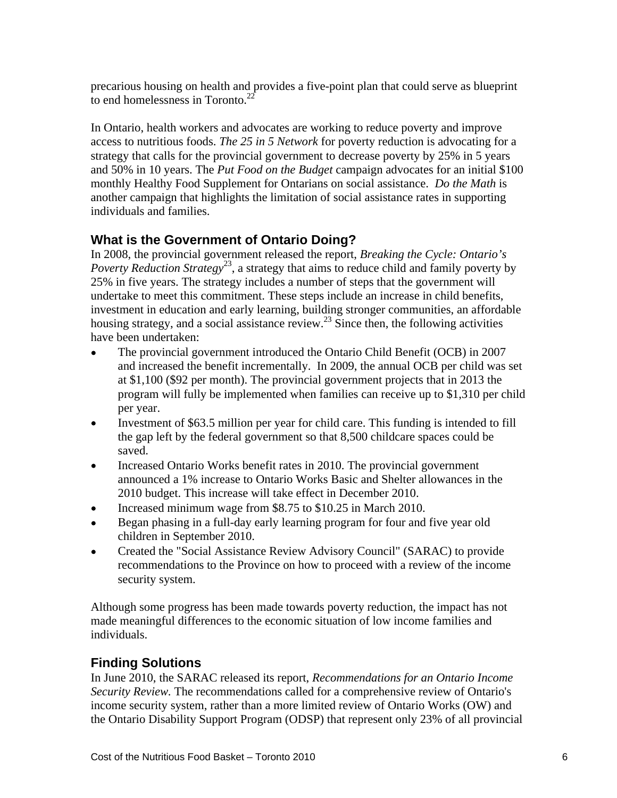precarious housing on health and provides a five-point plan that could serve as blueprint to end homelessness in Toronto. $2^2$ 

In Ontario, health workers and advocates are working to reduce poverty and improve access to nutritious foods. *The 25 in 5 Network* for poverty reduction is advocating for a strategy that calls for the provincial government to decrease poverty by 25% in 5 years and 50% in 10 years. The *Put Food on the Budget* campaign advocates for an initial \$100 monthly Healthy Food Supplement for Ontarians on social assistance. *Do the Math* is another campaign that highlights the limitation of social assistance rates in supporting individuals and families.

# **What is the Government of Ontario Doing?**

In 2008, the provincial government released the report, *Breaking the Cycle: Ontario's*  Poverty Reduction Strategy<sup>23</sup>, a strategy that aims to reduce child and family poverty by 25% in five years. The strategy includes a number of steps that the government will undertake to meet this commitment. These steps include an increase in child benefits, investment in education and early learning, building stronger communities, an affordable housing strategy, and a social assistance review.<sup>23</sup> Since then, the following activities have been undertaken:

- The provincial government introduced the Ontario Child Benefit (OCB) in 2007 and increased the benefit incrementally. In 2009, the annual OCB per child was set at \$1,100 (\$92 per month). The provincial government projects that in 2013 the program will fully be implemented when families can receive up to \$1,310 per child
- per year. Investment of \$63.5 million per year for child care. This funding is intended to fill  $\bullet$ the gap left by the federal government so that 8,500 childcare spaces could be saved.
- Increased Ontario Works benefit rates in 2010. The provincial government  $\bullet$ announced a 1% increase to Ontario Works Basic and Shelter allowances in the 2010 budget. This increase will take effect in December 2010.
- Increased minimum wage from \$8.75 to \$10.25 in March 2010.  $\bullet$
- Began phasing in a full-day early learning program for four and five year old  $\bullet$ children in September 2010.
- Created the "Social Assistance Review Advisory Council" (SARAC) to provide  $\bullet$ recommendations to the Province on how to proceed with a review of the income security system.

Although some progress has been made towards poverty reduction, the impact has not made meaningful differences to the economic situation of low income families and individuals.

# **Finding Solutions**

In June 2010, the SARAC released its report, *Recommendations for an Ontario Income Security Review.* The recommendations called for a comprehensive review of Ontario's income security system, rather than a more limited review of Ontario Works (OW) and the Ontario Disability Support Program (ODSP) that represent only 23% of all provincial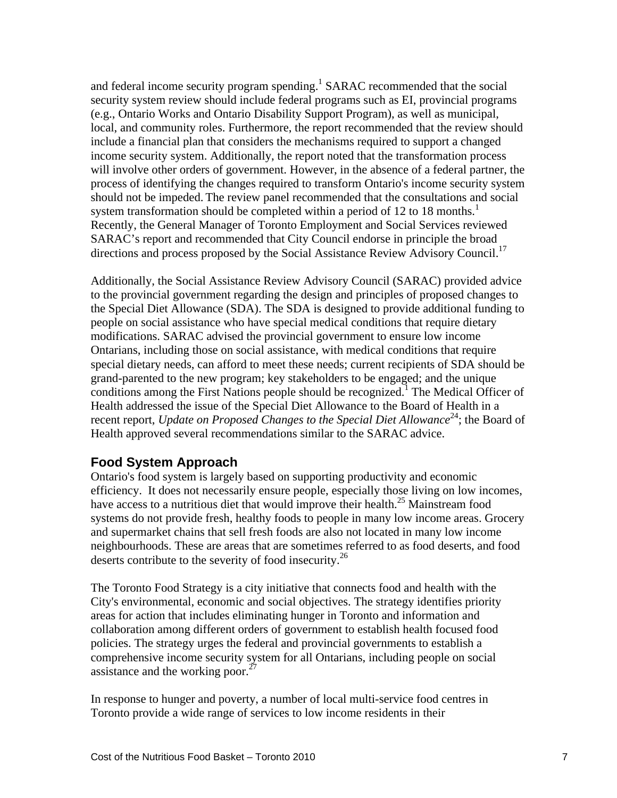and federal income security program spending.<sup>1</sup> SARAC recommended that the social security system review should include federal programs such as EI, provincial programs (e.g., Ontario Works and Ontario Disability Support Program), as well as municipal, local, and community roles. Furthermore, the report recommended that the review should include a financial plan that considers the mechanisms required to support a changed income security system. Additionally, the report noted that the transformation process will involve other orders of government. However, in the absence of a federal partner, the process of identifying the changes required to transform Ontario's income security system should not be impeded. The review panel recommended that the consultations and social system transformation should be completed within a period of 12 to 18 months.<sup>1</sup> Recently, the General Manager of Toronto Employment and Social Services reviewed SARAC's report and recommended that City Council endorse in principle the broad directions and process proposed by the Social Assistance Review Advisory Council.<sup>17</sup>

Additionally, the Social Assistance Review Advisory Council (SARAC) provided advice to the provincial government regarding the design and principles of proposed changes to the Special Diet Allowance (SDA). The SDA is designed to provide additional funding to people on social assistance who have special medical conditions that require dietary modifications. SARAC advised the provincial government to ensure low income Ontarians, including those on social assistance, with medical conditions that require special dietary needs, can afford to meet these needs; current recipients of SDA should be grand-parented to the new program; key stakeholders to be engaged; and the unique conditions among the First Nations people should be recognized.<sup>1</sup> The Medical Officer of Health addressed the issue of the Special Diet Allowance to the Board of Health in a recent report, *Update on Proposed Changes to the Special Diet Allowance*<sup>24</sup>; the Board of Health approved several recommendations similar to the SARAC advice.

#### **Food System Approach**

Ontario's food system is largely based on supporting productivity and economic efficiency. It does not necessarily ensure people, especially those living on low incomes, have access to a nutritious diet that would improve their health.<sup>25</sup> Mainstream food systems do not provide fresh, healthy foods to people in many low income areas. Grocery and supermarket chains that sell fresh foods are also not located in many low income neighbourhoods. These are areas that are sometimes referred to as food deserts, and food deserts contribute to the severity of food insecurity.<sup>26</sup>

The Toronto Food Strategy is a city initiative that connects food and health with the City's environmental, economic and social objectives. The strategy identifies priority areas for action that includes eliminating hunger in Toronto and information and collaboration among different orders of government to establish health focused food policies. The strategy urges the federal and provincial governments to establish a comprehensive income security system for all Ontarians, including people on social assistance and the working poor. $^{27}$ 

In response to hunger and poverty, a number of local multi-service food centres in Toronto provide a wide range of services to low income residents in their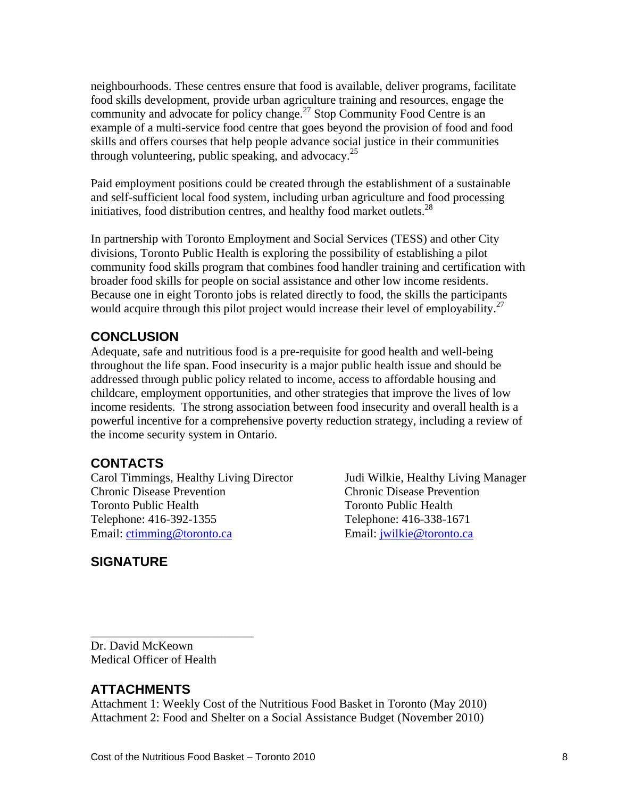neighbourhoods. These centres ensure that food is available, deliver programs, facilitate food skills development, provide urban agriculture training and resources, engage the community and advocate for policy change.<sup>27</sup> Stop Community Food Centre is an example of a multi-service food centre that goes beyond the provision of food and food skills and offers courses that help people advance social justice in their communities through volunteering, public speaking, and advocacy.<sup>25</sup>

Paid employment positions could be created through the establishment of a sustainable and self-sufficient local food system, including urban agriculture and food processing initiatives, food distribution centres, and healthy food market outlets. $^{28}$ 

In partnership with Toronto Employment and Social Services (TESS) and other City divisions, Toronto Public Health is exploring the possibility of establishing a pilot community food skills program that combines food handler training and certification with broader food skills for people on social assistance and other low income residents. Because one in eight Toronto jobs is related directly to food, the skills the participants would acquire through this pilot project would increase their level of employability.<sup>27</sup>

#### **CONCLUSION**

Adequate, safe and nutritious food is a pre-requisite for good health and well-being throughout the life span. Food insecurity is a major public health issue and should be addressed through public policy related to income, access to affordable housing and childcare, employment opportunities, and other strategies that improve the lives of low income residents. The strong association between food insecurity and overall health is a powerful incentive for a comprehensive poverty reduction strategy, including a review of the income security system in Ontario.

#### **CONTACTS**

Carol Timmings, Healthy Living Director Judi Wilkie, Healthy Living Manager Chronic Disease Prevention Chronic Disease Prevention Toronto Public Health Toronto Public Health Telephone: 416-392-1355 Telephone: 416-338-1671

Email: ctimming@toronto.ca example and Email: jwilkie@toronto.ca

# **SIGNATURE**

 $\overline{\phantom{a}}$  , we are the contract of the contract of the contract of the contract of the contract of the contract of the contract of the contract of the contract of the contract of the contract of the contract of the cont Dr. David McKeown Medical Officer of Health

# **ATTACHMENTS**

Attachment 1: Weekly Cost of the Nutritious Food Basket in Toronto (May 2010) Attachment 2: Food and Shelter on a Social Assistance Budget (November 2010)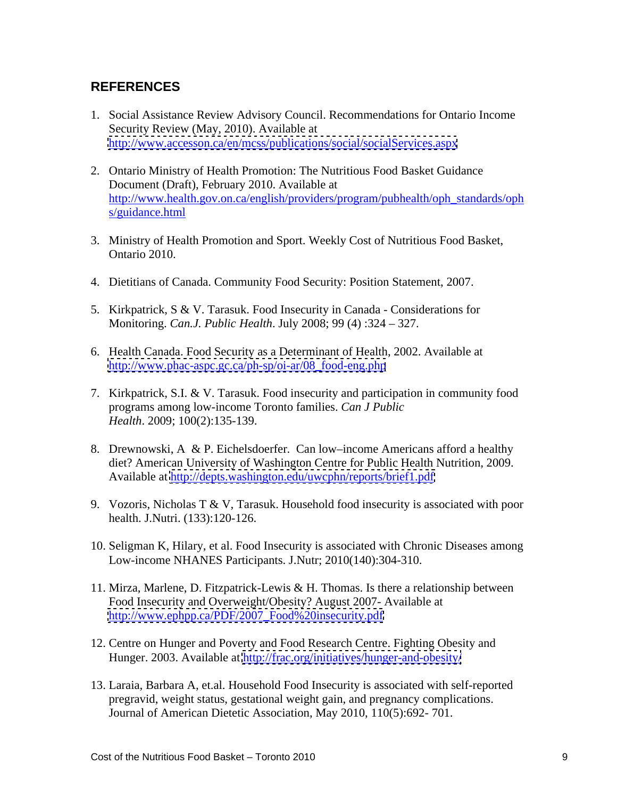# **REFERENCES**

- 1. Social Assistance Review Advisory Council. Recommendations for Ontario Income Security Review (May, 2010). Available at <http://www.accesson.ca/en/mcss/publications/social/socialServices.aspx>
- 2. Ontario Ministry of Health Promotion: The Nutritious Food Basket Guidance Document (Draft), February 2010. Available at [http://www.health.gov.on.ca/english/providers/program/pubhealth/oph\\_standards/oph](http://www.health.gov.on.ca/english/providers/program/pubhealth/oph_standards/ophs/guidance.html) s/guidance.html
- 3. Ministry of Health Promotion and Sport. Weekly Cost of Nutritious Food Basket, Ontario 2010.
- 4. Dietitians of Canada. Community Food Security: Position Statement, 2007.
- 5. Kirkpatrick, S & V. Tarasuk. Food Insecurity in Canada Considerations for Monitoring. *Can.J. Public Health*. July 2008; 99 (4) :324 – 327.
- 6. Health Canada. Food Security as a Determinant of Health, 2002. Available at [http://www.phac-aspc.gc.ca/ph-sp/oi-ar/08\\_food-eng.php](http://www.phac-aspc.gc.ca/ph-sp/oi-ar/08_food-eng.php)
- 7. Kirkpatrick, S.I. & V. Tarasuk. Food insecurity and participation in community food programs among low-income Toronto families. *Can J Public Health*. 2009; 100(2):135-139.
- 8. Drewnowski, A & P. Eichelsdoerfer. Can low–income Americans afford a healthy diet? American University of Washington Centre for Public Health Nutrition, 2009. Available at<http://depts.washington.edu/uwcphn/reports/brief1.pdf>
- 9. Vozoris, Nicholas T & V, Tarasuk. Household food insecurity is associated with poor health. J.Nutri. (133):120-126.
- 10. Seligman K, Hilary, et al. Food Insecurity is associated with Chronic Diseases among Low-income NHANES Participants. J.Nutr; 2010(140):304-310.
- 11. Mirza, Marlene, D. Fitzpatrick-Lewis & H. Thomas. Is there a relationship between Food Insecurity and Overweight/Obesity? August 2007- Available at [http://www.ephpp.ca/PDF/2007\\_Food%20insecurity.pdf](http://www.ephpp.ca/PDF/2007_Food%20insecurity.pdf)
- 12. Centre on Hunger and Poverty and Food Research Centre. Fighting Obesity and Hunger. 2003. Available at<http://frac.org/initiatives/hunger-and-obesity/>
- 13. Laraia, Barbara A, et.al. Household Food Insecurity is associated with self-reported pregravid, weight status, gestational weight gain, and pregnancy complications. Journal of American Dietetic Association, May 2010, 110(5):692- 701.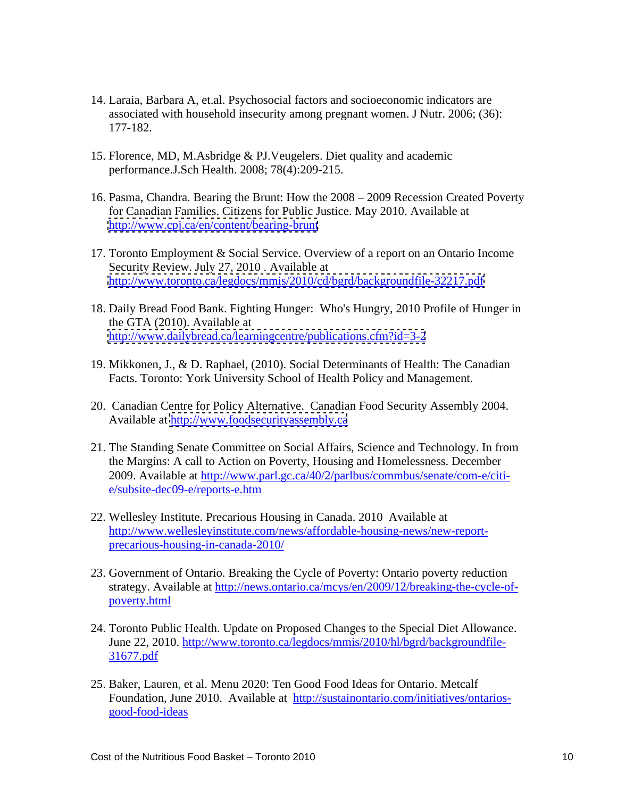- 14. Laraia, Barbara A, et.al. Psychosocial factors and socioeconomic indicators are associated with household insecurity among pregnant women. J Nutr. 2006; (36): 177-182.
- 15. Florence, MD, M.Asbridge & PJ.Veugelers. Diet quality and academic performance.J.Sch Health. 2008; 78(4):209-215.
- 16. Pasma, Chandra. Bearing the Brunt: How the 2008 2009 Recession Created Poverty for Canadian Families. Citizens for Public Justice. May 2010. Available at <http://www.cpj.ca/en/content/bearing-brunt>
- 17. Toronto Employment & Social Service. Overview of a report on an Ontario Income Security Review. July 27, 2010 . Available at <http://www.toronto.ca/legdocs/mmis/2010/cd/bgrd/backgroundfile-32217.pdf>
- 18. Daily Bread Food Bank. Fighting Hunger: Who's Hungry, 2010 Profile of Hunger in the GTA (2010). Available at <http://www.dailybread.ca/learningcentre/publications.cfm?id=3-2>
- 19. Mikkonen, J., & D. Raphael, (2010). Social Determinants of Health: The Canadian Facts. Toronto: York University School of Health Policy and Management.
- 20. Canadian Centre for Policy Alternative. Canadian Food Security Assembly 2004. Available at<http://www.foodsecurityassembly.ca>
- 21. The Standing Senate Committee on Social Affairs, Science and Technology. In from the Margins: A call to Action on Poverty, Housing and Homelessness. December 2009. Available at http://www.parl.gc.ca/40/2/parlbus/commbus/senate/com-e/citi e/subsite-dec09-e/reports-e.htm
- 22. Wellesley Institute. Precarious Housing in Canada. 2010 Available at http://www.wellesleyinstitute.com/news/affordable-housing-news/new-report precarious-housing-in-canada-2010/
- 23. Government of Ontario. Breaking the Cycle of Poverty: Ontario poverty reduction strategy. Available at http://news.ontario.ca/mcys/en/2009/12/breaking-the-cycle-of poverty.html
- 24. Toronto Public Health. Update on Proposed Changes to the Special Diet Allowance.<br>[June 22, 2010. http://www.toronto.ca/legdocs/mmis/2010/hl/bgrd/backgroundfile-](http://www.toronto.ca/legdocs/mmis/2010/hl/bgrd/backgroundfile-31677.pdf) 31677.pdf
- 25. Baker, Lauren, et al. Menu 2020: Ten Good Food Ideas for Ontario. Metcalf [Foundation, June 2010. Available at http://sustainontario.com/initiatives/ontarios](http://sustainontario.com/initiatives/ontarios-good-food-ideas#) good-food-ideas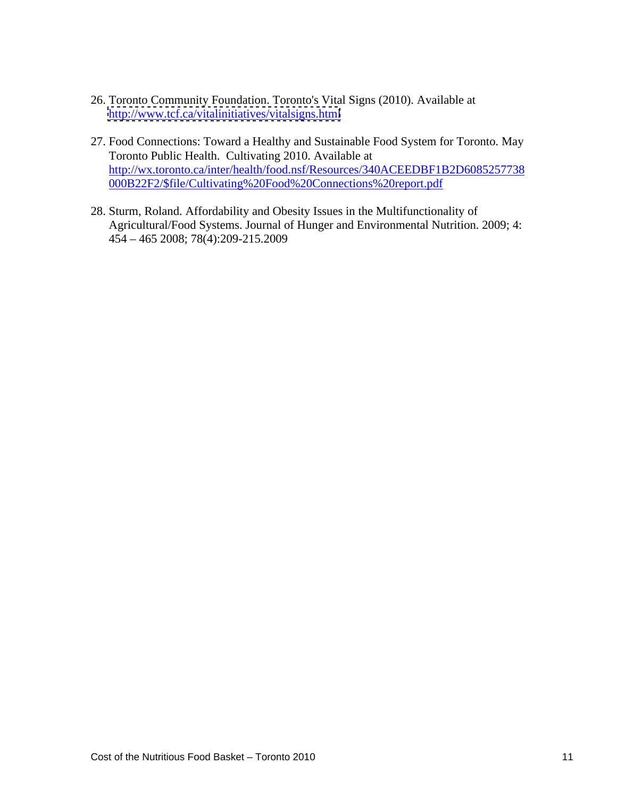- 26. Toronto Community Foundation. Toronto's Vital Signs (2010). Available at <http://www.tcf.ca/vitalinitiatives/vitalsigns.html>
- 27. Food Connections: Toward a Healthy and Sustainable Food System for Toronto. May Toronto Public Health. Cultivating 2010. Available at [http://wx.toronto.ca/inter/health/food.nsf/Resources/340ACEEDBF1B2D6085257738](http://wx.toronto.ca/inter/health/food.nsf/Resources/340ACEEDBF1B2D6085257738000B22F2/$file/Cultivating%20Food%20Connections%20report.pdf) 000B22F2/\$file/Cultivating%20Food%20Connections%20report.pdf
- 28. Sturm, Roland. Affordability and Obesity Issues in the Multifunctionality of Agricultural/Food Systems. Journal of Hunger and Environmental Nutrition. 2009; 4: 454 – 465 2008; 78(4):209-215.2009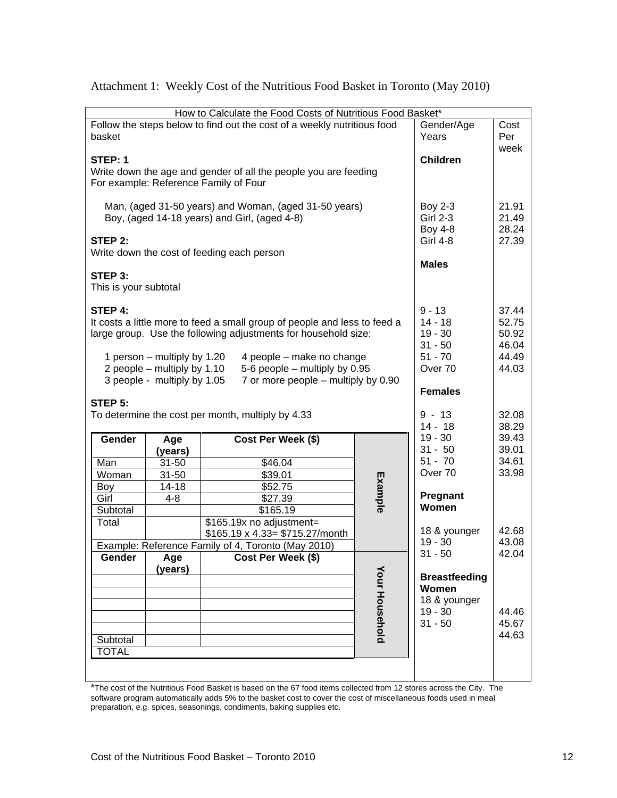| How to Calculate the Food Costs of Nutritious Food Basket*                |                                                     |                                  |
|---------------------------------------------------------------------------|-----------------------------------------------------|----------------------------------|
| Follow the steps below to find out the cost of a weekly nutritious food   | Gender/Age                                          | Cost                             |
| basket                                                                    | Years                                               | Per                              |
|                                                                           |                                                     | week                             |
| $\vert$ STEP: 1                                                           | <b>Children</b>                                     |                                  |
| Write down the age and gender of all the people you are feeding           |                                                     |                                  |
| For example: Reference Family of Four                                     |                                                     |                                  |
|                                                                           |                                                     |                                  |
| Man, (aged 31-50 years) and Woman, (aged 31-50 years)                     |                                                     | 21.91                            |
| Boy, (aged 14-18 years) and Girl, (aged 4-8)                              | Boy 2-3<br>Girl 2-3                                 | 21.49                            |
|                                                                           |                                                     | 28.24                            |
| STEP 2:                                                                   | Boy 4-8<br>Girl 4-8                                 | 27.39                            |
| Write down the cost of feeding each person                                |                                                     |                                  |
|                                                                           | <b>Males</b>                                        |                                  |
| $\vert$ STEP 3:                                                           |                                                     |                                  |
| This is your subtotal                                                     |                                                     |                                  |
|                                                                           |                                                     |                                  |
| $\vert$ STEP 4:                                                           | $9 - 13$                                            |                                  |
| It costs a little more to feed a small group of people and less to feed a | $14 - 18$                                           |                                  |
| large group. Use the following adjustments for household size:            |                                                     | 37.44<br>52.75<br>50.92<br>46.04 |
|                                                                           | $\begin{array}{ c } 19 - 30 \\ 31 - 50 \end{array}$ |                                  |
| 1 person – multiply by 1.20<br>4 people – make no change                  |                                                     | 44.49                            |
| 2 people – multiply by 1.10<br>5-6 people – multiply by 0.95              | 51 - 70<br>Over 70                                  | 44.03                            |
| 3 people - multiply by 1.05 7 or more people - multiply by 0.90           |                                                     |                                  |
|                                                                           | Females                                             |                                  |
| STEP 5:                                                                   |                                                     |                                  |
| To determine the cost per month, multiply by 4.33                         | $9 - 13$                                            | 32.08                            |
|                                                                           | $14 - 18$                                           | 38.29                            |
|                                                                           | $19 - 30$                                           | 39.43                            |
| Gender<br>Cost Per Week (\$)<br>Age                                       | $31 - 50$                                           | 39.01                            |
| (years)                                                                   | $51 - 70$                                           | 34.61                            |
| \$46.04<br>Man<br>31-50                                                   | Over 70                                             | 33.98                            |
| \$39.01<br>31-50<br>Woman                                                 |                                                     |                                  |
| \$52.75<br>Boy<br>14-18                                                   |                                                     |                                  |
| \$27.39<br>Girl<br>$4 - 8$                                                | Pregnant<br>Women                                   |                                  |
| \$165.19<br>Subtotal                                                      |                                                     |                                  |
| Total<br>\$165.19x no adjustment=                                         |                                                     |                                  |
| $\frac{1}{2}$ \$165.19 x 4.33= \$715.27/month                             | 18 & younger                                        | 42.68<br>43.08                   |
| Example: Reference Family of 4, Toronto (May 2010)                        | 19 - 30<br>$31 - 50$                                | 42.04                            |
| Gender<br>Age<br>(years)<br><b>Cost Per Week (\$)</b>                     |                                                     |                                  |
| $\preceq$                                                                 |                                                     |                                  |
|                                                                           | <b>Breastfeeding</b>                                |                                  |
|                                                                           | Women                                               |                                  |
|                                                                           |                                                     |                                  |
|                                                                           | 18 & younger<br>19 - 30<br>31 - 50                  | 44.46                            |
|                                                                           |                                                     | 45.67                            |
| Subtotal                                                                  |                                                     | 44.63                            |
|                                                                           |                                                     |                                  |
|                                                                           |                                                     |                                  |
|                                                                           |                                                     |                                  |
|                                                                           |                                                     |                                  |

Attachment 1: Weekly Cost of the Nutritious Food Basket in Toronto (May 2010)

\*The cost of the Nutritious Food Basket is based on the 67 food items collected from 12 stores across the City. The software program automatically adds 5% to the basket cost to cover the cost of miscellaneous foods used in meal preparation, e.g. spices, seasonings, condiments, baking supplies etc.